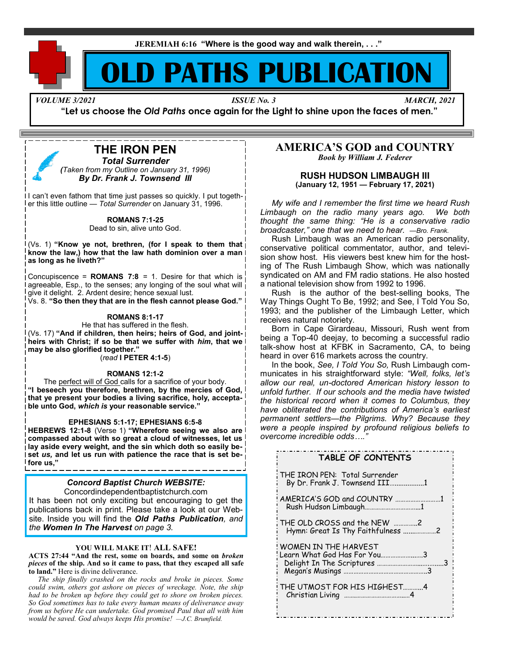**JEREMIAH 6:16 "Where is the good way and walk therein, . . ."**

# **D PATHS PUBLICATIO**

*VOLUME 3/2021 ISSUE No. 3 MARCH, 2021*

**"Let us choose the** *Old Paths* **once again for the Light to shine upon the faces of men."**

## **THE IRON PEN**

*Total Surrender (Taken from my Outline on January 31, 1996) By Dr. Frank J. Townsend III*

I can't even fathom that time just passes so quickly. I put together this little outline — *Total Surrender* on January 31, 1996.

**ROMANS 7:1-25**

Dead to sin, alive unto God.

(Vs. 1) **"Know ye not, brethren, (for I speak to them that know the law,) how that the law hath dominion over a man as long as he liveth?"**

Concupiscence = **ROMANS 7:8** = 1. Desire for that which is agreeable, Esp., to the senses; any longing of the soul what will give it delight. 2. Ardent desire; hence sexual lust.

Vs. 8. **"So then they that are in the flesh cannot please God."**

#### **ROMANS 8:1-17**

He that has suffered in the flesh. (Vs. 17) **"And if children, then heirs; heirs of God, and jointheirs with Christ; if so be that we suffer with** *him***, that we may be also glorified together."**

(*read* **I PETER 4:1-5**)

#### **ROMANS 12:1-2**

The perfect will of God calls for a sacrifice of your body. **"I beseech you therefore, brethren, by the mercies of God, that ye present your bodies a living sacrifice, holy, acceptable unto God,** *which is* **your reasonable service."**

#### **EPHESIANS 5:1-17; EPHESIANS 6:5-8**

**HEBREWS 12:1-8** (Verse 1) **"Wherefore seeing we also are compassed about with so great a cloud of witnesses, let us lay aside every weight, and the sin which doth so easily beset** *us,* **and let us run with patience the race that is set before us,"**

#### *Concord Baptist Church WEBSITE:*

Concordindependentbaptistchurch.com

It has been not only exciting but encouraging to get the publications back in print. Please take a look at our Website. Inside you will find the *Old Paths Publication, and the Women In The Harvest on page 3.*

#### **YOU WILL MAKE IT**! **ALL SAFE!**

**ACTS 27:44 "And the rest, some on boards, and some on** *broken pieces* **of the ship. And so it came to pass, that they escaped all safe to land."** Here is divine deliverance.

 *The ship finally crashed on the rocks and broke in pieces. Some could swim, others got ashore on pieces of wreckage. Note, the ship had to be broken up before they could get to shore on broken pieces. So God sometimes has to take every human means of deliverance away from us before He can undertake. God promised Paul that all with him would be saved. God always keeps His promise! —J.C. Brumfield.*

#### **AMERICA'S GOD and COUNTRY** *Book by William J. Federer*

**RUSH HUDSON LIMBAUGH III (January 12, 1951 — February 17, 2021)**

 *My wife and I remember the first time we heard Rush Limbaugh on the radio many years ago. We both thought the same thing: "He is a conservative radio broadcaster," one that we need to hear. —Bro. Frank.*

 Rush Limbaugh was an American radio personality, conservative political commentator, author, and television show host. His viewers best knew him for the hosting of The Rush Limbaugh Show, which was nationally syndicated on AM and FM radio stations. He also hosted a national television show from 1992 to 1996.

 Rush is the author of the best-selling books, The Way Things Ought To Be, 1992; and See, I Told You So, 1993; and the publisher of the Limbaugh Letter, which receives natural notoriety.

 Born in Cape Girardeau, Missouri, Rush went from being a Top-40 deejay, to becoming a successful radio talk-show host at KFBK in Sacramento, CA, to being heard in over 616 markets across the country.

 In the book, *See, I Told You So,* Rush Limbaugh communicates in his straightforward style: *"Well, folks, let's allow our real, un-doctored American history lesson to unfold further. If our schools and the media have twisted the historical record when it comes to Columbus, they have obliterated the contributions of America's earliest permanent settlers—the Pilgrims. Why? Because they were a people inspired by profound religious beliefs to overcome incredible odds…."* 

| TABLE OF CONTENTS                                                |
|------------------------------------------------------------------|
| THE IRON PEN: Total Surrender<br>By Dr. Frank J. Townsend III1   |
| AMERICA'S GOD and COUNTRY 1<br>Rush Hudson Limbaugh1             |
| THE OLD CROSS and the NEW 2<br>Hymn: Great Is Thy Faithfulness 2 |
| WOMEN IN THE HARVEST<br>Learn What God Has For You3              |
| THE UTMOST FOR HIS HIGHEST4                                      |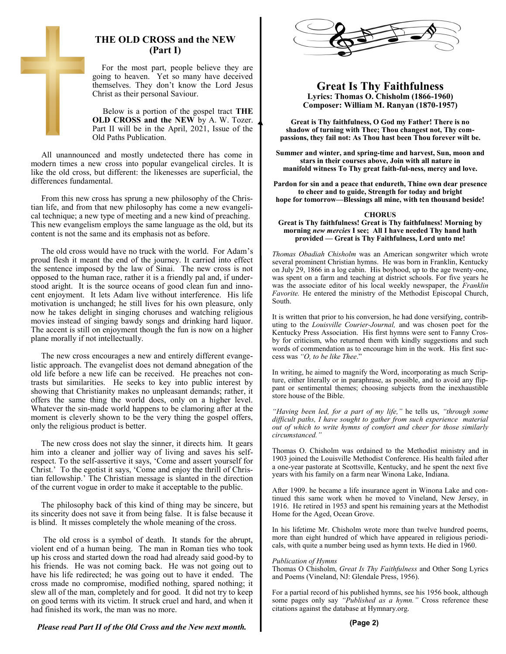

 For the most part, people believe they are going to heaven. Yet so many have deceived themselves. They don't know the Lord Jesus Christ as their personal Saviour.

Below is a portion of the gospel tract **THE OLD CROSS and the NEW** by A. W. Tozer. Part II will be in the April, 2021, Issue of the Old Paths Publication.

 All unannounced and mostly undetected there has come in modern times a new cross into popular evangelical circles. It is like the old cross, but different: the likenesses are superficial, the differences fundamental.

 From this new cross has sprung a new philosophy of the Christian life, and from that new philosophy has come a new evangelical technique; a new type of meeting and a new kind of preaching. This new evangelism employs the same language as the old, but its content is not the same and its emphasis not as before.

 The old cross would have no truck with the world. For Adam's proud flesh it meant the end of the journey. It carried into effect the sentence imposed by the law of Sinai. The new cross is not opposed to the human race, rather it is a friendly pal and, if understood aright. It is the source oceans of good clean fun and innocent enjoyment. It lets Adam live without interference. His life motivation is unchanged; he still lives for his own pleasure, only now he takes delight in singing choruses and watching religious movies instead of singing bawdy songs and drinking hard liquor. The accent is still on enjoyment though the fun is now on a higher plane morally if not intellectually.

 The new cross encourages a new and entirely different evangelistic approach. The evangelist does not demand abnegation of the old life before a new life can be received. He preaches not contrasts but similarities. He seeks to key into public interest by showing that Christianity makes no unpleasant demands; rather, it offers the same thing the world does, only on a higher level. Whatever the sin-made world happens to be clamoring after at the moment is cleverly shown to be the very thing the gospel offers, only the religious product is better.

 The new cross does not slay the sinner, it directs him. It gears him into a cleaner and jollier way of living and saves his selfrespect. To the self-assertive it says, 'Come and assert yourself for Christ.' To the egotist it says, 'Come and enjoy the thrill of Christian fellowship.' The Christian message is slanted in the direction of the current vogue in order to make it acceptable to the public.

 The philosophy back of this kind of thing may be sincere, but its sincerity does not save it from being false. It is false because it is blind. It misses completely the whole meaning of the cross.

 The old cross is a symbol of death. It stands for the abrupt, violent end of a human being. The man in Roman ties who took up his cross and started down the road had already said good-by to his friends. He was not coming back. He was not going out to have his life redirected; he was going out to have it ended. The cross made no compromise, modified nothing, spared nothing; it slew all of the man, completely and for good. It did not try to keep on good terms with its victim. It struck cruel and hard, and when it had finished its work, the man was no more.



#### **Great Is Thy Faithfulness Lyrics: Thomas O. Chisholm (1866-1960) Composer: William M. Ranyan (1870-1957)**

**Great is Thy faithfulness, O God my Father! There is no shadow of turning with Thee; Thou changest not, Thy compassions, they fail not: As Thou hast been Thou forever wilt be.**

**Summer and winter, and spring-time and harvest, Sun, moon and stars in their courses above, Join with all nature in manifold witness To Thy great faith-ful-ness, mercy and love.**

**Pardon for sin and a peace that endureth, Thine own dear presence to cheer and to guide, Strength for today and bright hope for tomorrow—Blessings all mine, with ten thousand beside!**

#### **CHORUS**

#### **Great is Thy faithfulness! Great is Thy faithfulness! Morning by morning** *new mercies* **I see; All I have needed Thy hand hath provided — Great is Thy Faithfulness, Lord unto me!**

*Thomas Obadiah Chisholm* was an American songwriter which wrote several prominent Christian hymns. He was born in Franklin, Kentucky on July 29, 1866 in a log cabin. His boyhood, up to the age twenty-one, was spent on a farm and teaching at district schools. For five years he was the associate editor of his local weekly newspaper, the *Franklin Favorite.* He entered the ministry of the Methodist Episcopal Church, South.

It is written that prior to his conversion, he had done versifying, contributing to the *Louisville Courier-Journal,* and was chosen poet for the Kentucky Press Association. His first hymns were sent to Fanny Crosby for criticism, who returned them with kindly suggestions and such words of commendation as to encourage him in the work. His first success was *"O, to be like Thee*."

In writing, he aimed to magnify the Word, incorporating as much Scripture, either literally or in paraphrase, as possible, and to avoid any flippant or sentimental themes; choosing subjects from the inexhaustible store house of the Bible.

*"Having been led, for a part of my life,"* he tells us, *"through some difficult paths, I have sought to gather from such experience material out of which to write hymns of comfort and cheer for those similarly circumstanced."*

Thomas O. Chisholm was ordained to the Methodist ministry and in 1903 joined the Louisville Methodist Conference. His health failed after a one-year pastorate at Scottsville, Kentucky, and he spent the next five years with his family on a farm near Winona Lake, Indiana.

After 1909. he became a life insurance agent in Winona Lake and continued this same work when he moved to Vineland, New Jersey, in 1916. He retired in 1953 and spent his remaining years at the Methodist Home for the Aged, Ocean Grove.

In his lifetime Mr. Chisholm wrote more than twelve hundred poems, more than eight hundred of which have appeared in religious periodicals, with quite a number being used as hymn texts. He died in 1960.

#### *Publication of Hymns*

Thomas O Chisholm, *Great Is Thy Faithfulness* and Other Song Lyrics and Poems (Vineland, NJ: Glendale Press, 1956).

For a partial record of his published hymns, see his 1956 book, although some pages only say *"Published as a hymn."* Cross reference these citations against the database at Hymnary.org.

*Please read Part II of the Old Cross and the New next month.*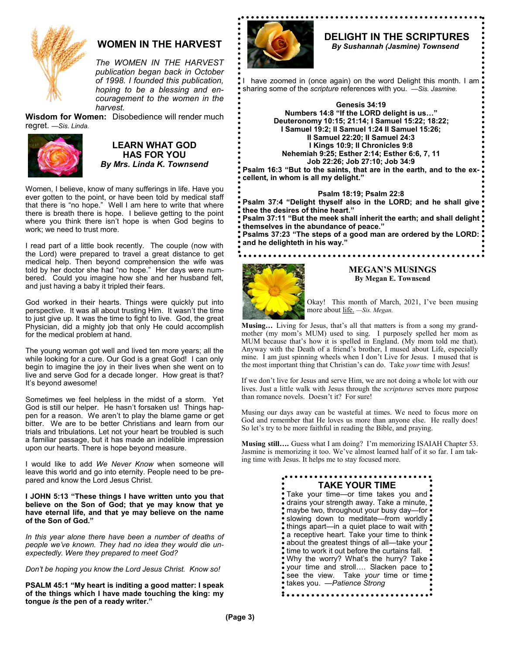

## **WOMEN IN THE HARVEST**

*The WOMEN IN THE HARVEST publication began back in October of 1998. I founded this publication, hoping to be a blessing and encouragement to the women in the harvest.*

**Wisdom for Women:** Disobedience will render much regret. *—Sis. Linda.*



## **LEARN WHAT GOD HAS FOR YOU** *By Mrs. Linda K. Townsend*

Women, I believe, know of many sufferings in life. Have you ever gotten to the point, or have been told by medical staff that there is "no hope." Well I am here to write that where there is breath there is hope. I believe getting to the point where you think there isn't hope is when God begins to work; we need to trust more.

I read part of a little book recently. The couple (now with the Lord) were prepared to travel a great distance to get medical help. Then beyond comprehension the wife was told by her doctor she had "no hope." Her days were numbered. Could you imagine how she and her husband felt, and just having a baby it tripled their fears.

God worked in their hearts. Things were quickly put into perspective. It was all about trusting Him. It wasn't the time to just give up. It was the time to fight to live. God, the great Physician, did a mighty job that only He could accomplish for the medical problem at hand.

The young woman got well and lived ten more years; all the while looking for a cure. Our God is a great God! I can only begin to imagine the joy in their lives when she went on to live and serve God for a decade longer. How great is that? It's beyond awesome!

Sometimes we feel helpless in the midst of a storm. Yet God is still our helper. He hasn't forsaken us! Things happen for a reason. We aren't to play the blame game or get bitter. We are to be better Christians and learn from our trials and tribulations. Let not your heart be troubled is such a familiar passage, but it has made an indelible impression upon our hearts. There is hope beyond measure.

I would like to add *We Never Know* when someone will leave this world and go into eternity. People need to be prepared and know the Lord Jesus Christ.

**I JOHN 5:13 "These things I have written unto you that believe on the Son of God; that ye may know that ye have eternal life, and that ye may believe on the name of the Son of God."** 

*In this year alone there have been a number of deaths of people we've known. They had no idea they would die unexpectedly. Were they prepared to meet God?* 

*Don't be hoping you know the Lord Jesus Christ. Know so!* 

**PSALM 45:1 "My heart is inditing a good matter: I speak of the things which I have made touching the king: my tongue** *is* **the pen of a ready writer."**



## **DELIGHT IN THE SCRIPTURES**

 *By Sushannah (Jasmine) Townsend*

have zoomed in (once again) on the word Delight this month. I am. sharing some of the *scripture* references with you. *—Sis. Jasmine.*

> **Genesis 34:19 Numbers 14:8 "If the LORD delight is us…" Deuteronomy 10:15; 21:14; I Samuel 15:22; 18:22; I Samuel 19:2; II Samuel 1:24 II Samuel 15:26; II Samuel 22:20; II Samuel 24:3 I Kings 10:9; II Chronicles 9:8 Nehemiah 9:25; Esther 2:14; Esther 6:6, 7, 11 Job 22:26; Job 27:10; Job 34:9**

**Psalm 16:3 "But to the saints, that are in the earth, and to the excellent, in whom is all my delight."** 

## **Psalm 18:19; Psalm 22:8**

**Psalm 37:4 "Delight thyself also in the LORD; and he shall give thee the desires of thine heart."** 

**Psalm 37:11 "But the meek shall inherit the earth; and shall delight themselves in the abundance of peace." Psalms 37:23 "The steps of a good man are ordered by the LORD:** 

**and he delighteth in his way."**



#### **MEGAN'S MUSINGS By Megan E. Townsend**

Okay! This month of March, 2021, I've been musing more about life. *—Sis. Megan.*

**Musing…** Living for Jesus, that's all that matters is from a song my grandmother (my mom's MUM) used to sing. I purposely spelled her mom as MUM because that's how it is spelled in England. (My mom told me that). Anyway with the Death of a friend's brother, I mused about Life, especially mine. I am just spinning wheels when I don't Live for Jesus. I mused that is the most important thing that Christian's can do. Take *your* time with Jesus!

If we don't live for Jesus and serve Him, we are not doing a whole lot with our lives. Just a little walk with Jesus through the *scriptures* serves more purpose than romance novels. Doesn't it? For sure!

Musing our days away can be wasteful at times. We need to focus more on God and remember that He loves us more than anyone else. He really does! So let's try to be more faithful in reading the Bible, and praying.

**Musing still….** Guess what I am doing? I'm memorizing ISAIAH Chapter 53. Jasmine is memorizing it too. We've almost learned half of it so far. I am taking time with Jesus. It helps me to stay focused more.

| <b>TAKE YOUR TIME</b><br>Take your time—or time takes you and<br>• drains your strength away. Take a minute, •<br>• maybe two, throughout your busy day—for •<br>slowing down to meditate—from worldly.<br>• things apart-in a quiet place to wait with •<br>• a receptive heart. Take your time to think •<br>• about the greatest things of all—take your •<br>• time to work it out before the curtains fall.<br>Why the worry? What's the hurry? Take: |
|------------------------------------------------------------------------------------------------------------------------------------------------------------------------------------------------------------------------------------------------------------------------------------------------------------------------------------------------------------------------------------------------------------------------------------------------------------|
| over time and stroll Slacken pace to •<br>see the view. Take your time or time.<br>takes you. - Patience Strong                                                                                                                                                                                                                                                                                                                                            |